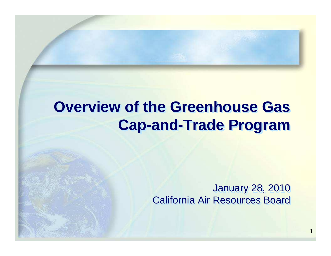## **Overview of the Greenhouse Gas Cap-and-Trade Program**

January 28, 2010California Air Resources Board

1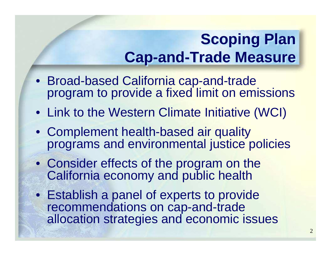## **Scoping Plan Cap-and-Trade Measure**

- Broad-based California cap-and-trade program to provide a fixed limit on emissions
- Link to the Western Climate Initiative (WCI)
- Complement health-based air quality programs and environmental justice policies
- Consider effects of the program on the California economy and public health
- Establish a panel of experts to provide recommendations on cap-and-trade allocation strategies and economic issues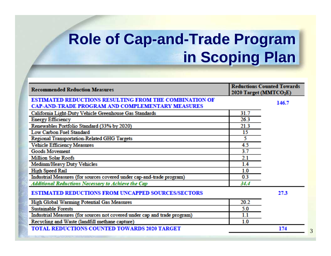## **Role of Cap-and-Trade Program in Scoping Plan**

| <b>Recommended Reduction Measures</b>                                     | <b>Reductions Counted Towards</b><br>2020 Target (MMTCO <sub>2</sub> E) |       |
|---------------------------------------------------------------------------|-------------------------------------------------------------------------|-------|
| <b>ESTIMATED REDUCTIONS RESULTING FROM THE COMBINATION OF</b>             |                                                                         | 146.7 |
| <b>CAP-AND-TRADE PROGRAM AND COMPLEMENTARY MEASURES</b>                   |                                                                         |       |
| California Light-Duty Vehicle Greenhouse Gas Standards                    | 31.7                                                                    |       |
| <b>Energy Efficiency</b>                                                  | 26.3                                                                    |       |
| Renewables Portfolio Standard (33% by 2020)                               | 21.3                                                                    |       |
| Low Carbon Fuel Standard                                                  | 15                                                                      |       |
| <b>Regional Transportation-Related GHG Targets</b>                        | 5                                                                       |       |
| <b>Vehicle Efficiency Measures</b>                                        | 4.5                                                                     |       |
| <b>Goods Movement</b>                                                     | 3.7                                                                     |       |
| <b>Million Solar Roofs</b>                                                | 2.1                                                                     |       |
| Medium/Heavy Duty Vehicles                                                | 1.4                                                                     |       |
| <b>High Speed Rail</b>                                                    | 1.0                                                                     |       |
| Industrial Measures (for sources covered under cap-and-trade program)     | 0.3                                                                     |       |
| <b>Additional Reductions Necessary to Achieve the Cap</b>                 | 34.4                                                                    |       |
| <b>ESTIMATED REDUCTIONS FROM UNCAPPED SOURCES/SECTORS</b>                 |                                                                         | 27.3  |
| <b>High Global Warming Potential Gas Measures</b>                         | 20.2                                                                    |       |
| <b>Sustainable Forests</b>                                                | 5.0                                                                     |       |
| Industrial Measures (for sources not covered under cap and trade program) | 1.1                                                                     |       |
| Recycling and Waste (landfill methane capture)                            | 1.0                                                                     |       |
| <b>TOTAL REDUCTIONS COUNTED TOWARDS 2020 TARGET</b>                       |                                                                         | 174   |
|                                                                           |                                                                         |       |

3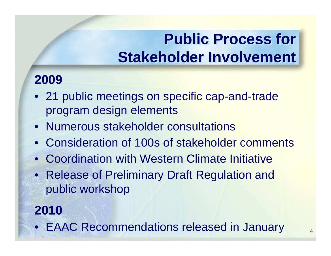## **Public Process for Stakeholder Involvement**

#### **2009**

- 21 public meetings on specific cap-and-trade program design elements
- Numerous stakeholder consultations
- $\bullet$ Consideration of 100s of stakeholder comments
- Coordination with Western Climate Initiative
- Release of Preliminary Draft Regulation and public workshop

#### **2010**

• EAAC Recommendations released in January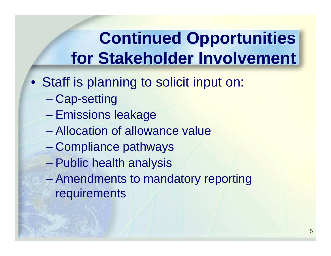# **Continued Opportunities for Stakeholder Involvement**

- Staff is planning to solicit input on:
	- $\mathcal{L}_{\mathcal{A}}$  , and the set of  $\mathcal{L}_{\mathcal{A}}$ Cap-setting
	- $\mathcal{L}_{\mathcal{A}}$  , and the set of  $\mathcal{L}_{\mathcal{A}}$ Emissions leakage
	- $\mathcal{L}_{\mathcal{A}}$  , and the set of  $\mathcal{L}_{\mathcal{A}}$ Allocation of allowance value
	- Compliance pathways
	- Public health analysis
	- Amendments to mandatory reporting requirements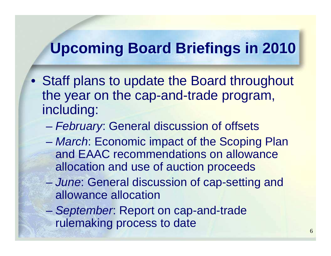## **Upcoming Board Briefings in 2010**

- Staff plans to update the Board throughout the year on the cap-and-trade program, including:
	- **Hart Committee** – *February*: General discussion of offsets
	- **Hart Committee** - March: Economic impact of the Scoping Plan and EAAC recommendations on allowance allocation and use of auction proceeds
	- **Hart Committee** - June: General discussion of cap-setting and allowance allocation
	- **Hart Committee** - September: Report on cap-and-trade rulemaking process to date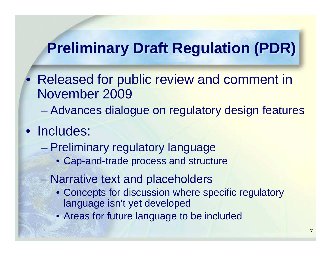#### **Preliminary Draft Regulation (PDR)**

- Released for public review and comment in November 2009
	- $\mathcal{L}_{\mathcal{A}}$ Advances dialogue on regulatory design features
- Includes:

 $\bullet$ 

- $\mathcal{L}_{\mathcal{A}}$  , the state of the state  $\mathcal{L}_{\mathcal{A}}$  Preliminary regulatory language
	- Cap-and-trade process and structure
- $\mathcal{L}_{\mathcal{A}}$  , the state of the state  $\mathcal{L}_{\mathcal{A}}$  Narrative text and placeholders
	- Concepts for discussion where specific regulatory language isn't yet developed
	- Areas for future language to be included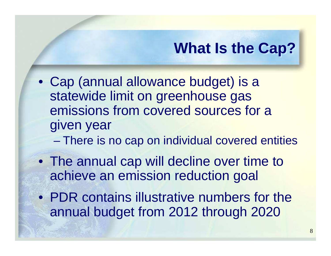## **What Is the Cap?**

- Cap (annual allowance budget) is a statewide limit on greenhouse gas emissions from covered sources for a given year
	- $\mathcal{L}_{\mathcal{A}}$ There is no cap on individual covered entities
- The annual cap will decline over time to achieve an emission reduction goal
- PDR contains illustrative numbers for the annual budget from 2012 through 2020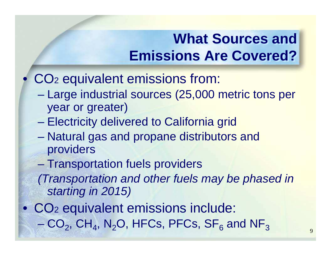#### **What Sources and Emissions Are Covered?**

- $\bullet$  CO22 equivalent emissions from:
	- – Large industrial sources (25,000 metric tons per year or greater)
	- Electricity delivered to California grid
	- Natural gas and propane distributors and providers
	- $\mathcal{L}_{\mathcal{A}}$  , the state of the state  $\mathcal{L}_{\mathcal{A}}$ Transportation fuels providers

 (Transportation and other fuels may be phased in starting in 2015)

• CO –22 equivalent emissions include:  $CO<sub>2</sub>$ , CH<sub>4</sub>, N<sub>2</sub>O, HFCs, PFCs, SF<sub>6</sub>  $_{\rm 6}$  and NF 3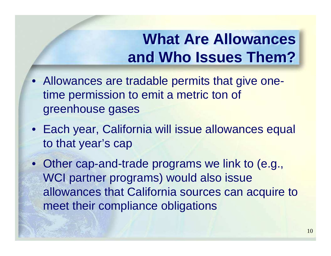## **What Are Allowances and Who Issues Them?**

- Allowances are tradable permits that give onetime permission to emit a metric ton of greenhouse gases
- Each year, California will issue allowances equal to that year's cap
- Other cap-and-trade programs we link to (e.g., WCI partner programs) would also issue allowances that California sources can acquire to meet their compliance obligations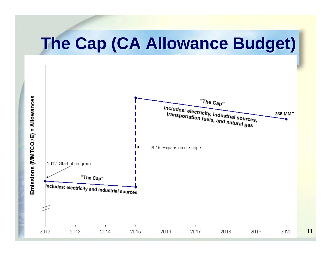# **The Cap (CA Allowance Budget)**

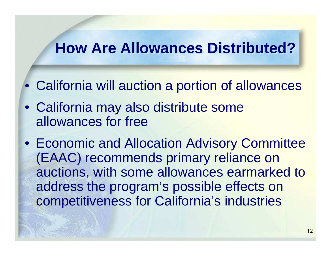#### **How Are Allowances Distributed?**

- California will auction a portion of allowances
- California may also distribute some allowances for free
- Economic and Allocation Advisory Committee (EAAC) recommends primary reliance on auctions, with some allowances earmarked to address the program's possible effects on competitiveness for California's industries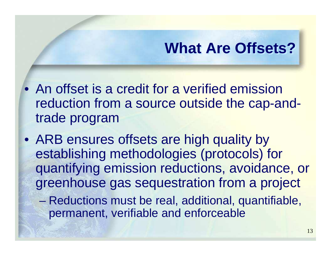## **What Are Offsets?**

- An offset is a credit for a verified emission reduction from a source outside the cap-andtrade program
- ARB ensures offsets are high quality by establishing methodologies (protocols) for quantifying emission reductions, avoidance, or greenhouse gas sequestration from a project
	- $\mathcal{L}_{\mathcal{A}}$  Reductions must be real, additional, quantifiable, permanent, verifiable and enforceable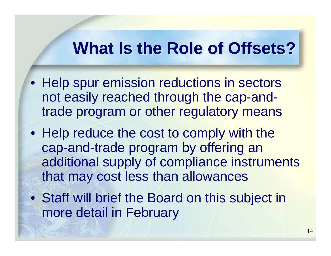## **What Is the Role of Offsets?**

- Help spur emission reductions in sectors not easily reached through the cap-andtrade program or other regulatory means
- Help reduce the cost to comply with the cap-and-trade program by offering an additional supply of compliance instruments that may cost less than allowances
- Staff will brief the Board on this subject in more detail in February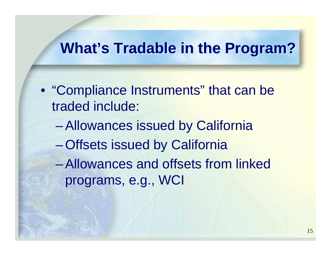#### **What's Tradable in the Program?**

• "Compliance Instruments" that can be traded include:

- Allowances issued by California
- Offsets issued by California
- $\mathcal{L}_{\mathcal{A}}$  , and the set of  $\mathcal{L}_{\mathcal{A}}$  Allowances and offsets from linked programs, e.g., WCI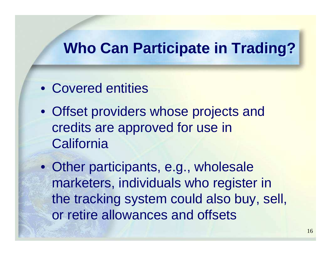#### **Who Can Participate in Trading?**

- Covered entities
- Offset providers whose projects and credits are approved for use in **California**
- Other participants, e.g., wholesale marketers, individuals who register in the tracking system could also buy, sell, or retire allowances and offsets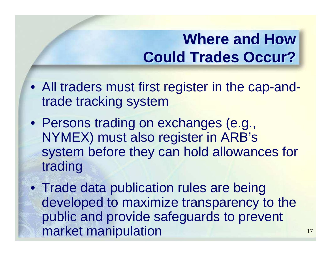## **Where and How Could Trades Occur?**

- All traders must first register in the cap-andtrade tracking system
- Persons trading on exchanges (e.g., NYMEX) must also register in ARB's system before they can hold allowances for trading
- Trade data publication rules are being developed to maximize transparency to the public and provide safeguards to prevent market manipulation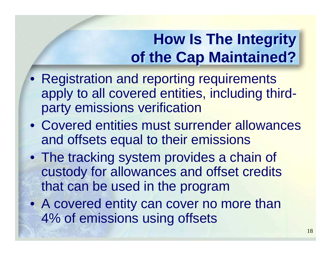## **How Is The Integrity of the Cap Maintained?**

- Registration and reporting requirements apply to all covered entities, including thirdparty emissions verification
- Covered entities must surrender allowances and offsets equal to their emissions
- The tracking system provides a chain of custody for allowances and offset credits that can be used in the program
- A covered entity can cover no more than 4% of emissions using offsets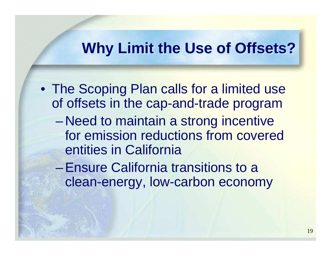#### **Why Limit the Use of Offsets?**

• The Scoping Plan calls for a limited use of offsets in the cap-and-trade program– NAAN to maintain a strong incantive Need to maintain a strong incentive for emission reductions from covered entities in California Ensure California transitions to a

clean-energy, low-carbon economy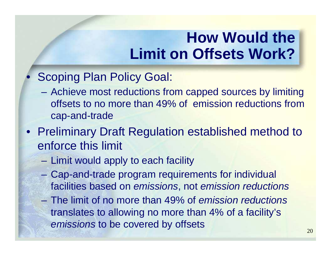## **How Would the Limit on Offsets Work?**

#### $\bullet$ Scoping Plan Policy Goal:

- Achieve most reductions from capped sources by limiting offsets to no more than 49% of emission reductions from cap-and-trade
- Preliminary Draft Regulation established method toenforce this limit
	- Limit would apply to each facility
	- $\mathcal{L}_{\mathcal{A}}$  , and the set of  $\mathcal{L}_{\mathcal{A}}$  Cap-and-trade program requirements for individual facilities based on emissions, not emission reductions
	- The limit of no more than 49% of emission reductions translates to allowing no more than 4% of a facility's emissions to be covered by offsets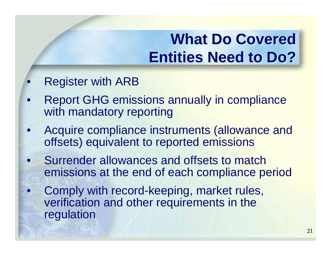## **What Do Covered Entities Need to Do?**

#### $\bullet$ Register with ARB

- $\bullet$  Report GHG emissions annually in compliance with mandatory reporting
- $\bullet$  Acquire compliance instruments (allowance and offsets) equivalent to reported emissions
- $\bullet$  Surrender allowances and offsets to match emissions at the end of each compliance period
- $\bullet$  Comply with record-keeping, market rules, verification and other requirements in the regulation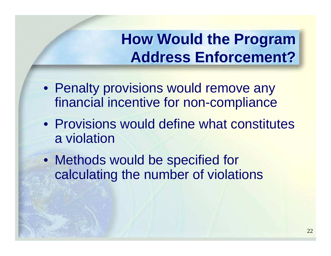## **How Would the Program Address Enforcement?**

- Penalty provisions would remove any financial incentive for non-compliance
- Provisions would define what constitutes a violation
- Methods would be specified for calculating the number of violations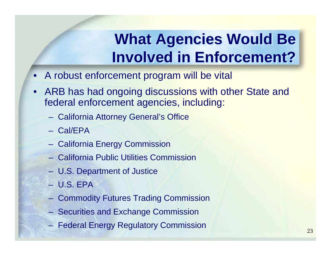## **What Agencies Would Be Involved in Enforcement?**

- A robust enforcement program will be vital
- ARB has had ongoing discussions with other State and federal enforcement agencies, including:
	- **Contract Contract** California Attorney General's Office
	- **Hart Committee** Cal/EPA
	- California Energy Commission
	- California Public Utilities Commission
	- **Links and Committee** U.S. Department of Justice
	- U.S. EPA
	- Commodity Futures Trading Commission
	- Securities and Exchange Commission
	- Federal Energy Regulatory Commission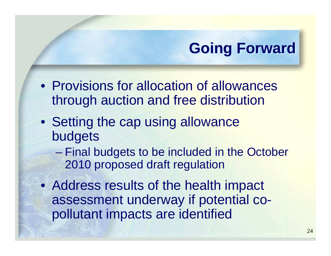## **Going Forward**

- Provisions for allocation of allowances through auction and free distribution
- Setting the cap using allowance budgets
	- – Final budgets to be included in the October 2010 proposed draft regulation
- Address results of the health impact assessment underway if potential copollutant impacts are identified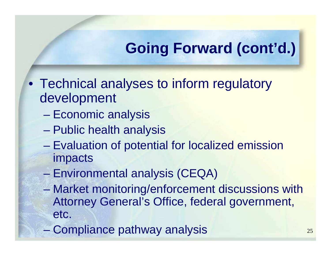## **Going Forward (cont'd.)**

- Technical analyses to inform regulatory development
	- –Economic analysis
	- $\mathcal{L}_{\mathcal{A}}$ Public health analysis
	- Evaluation of potential for localized emission impacts
	- $\mathcal{L}_{\mathcal{A}}$  , the state of the state  $\mathcal{L}_{\mathcal{A}}$ Environmental analysis (CEQA)
	- Market monitoring/enforcement discussions with Attorney General's Office, federal government, etc.
	- Compliance pathway analysis